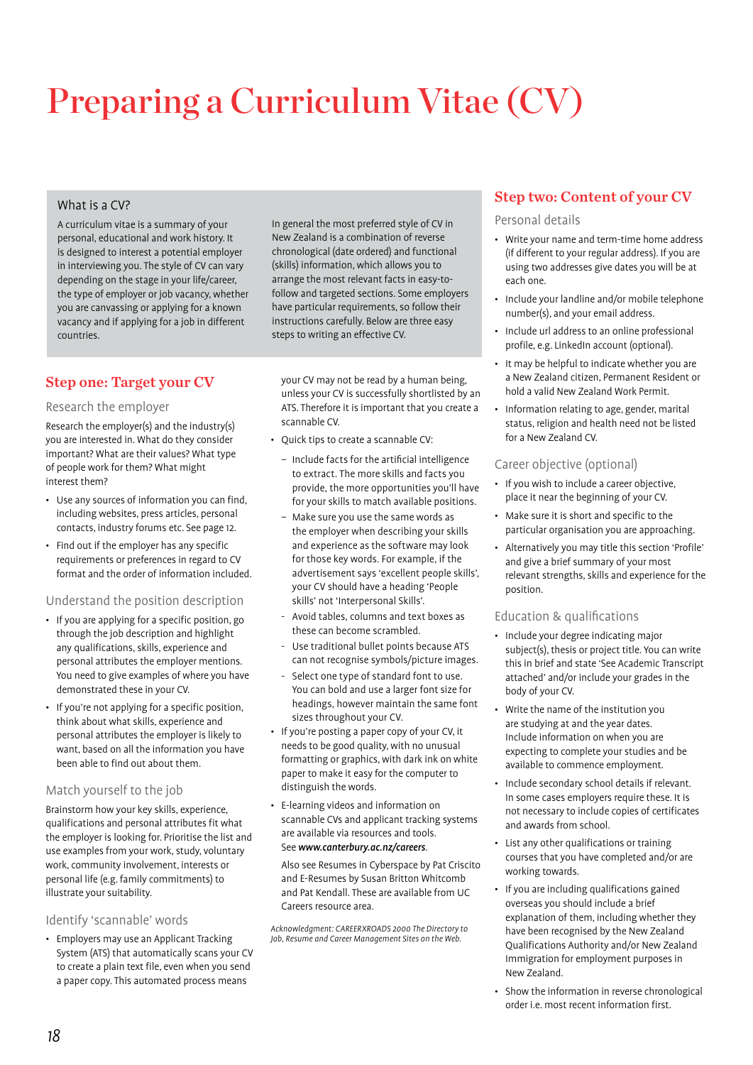# Preparing a Curriculum Vitae (CV)

# What is a CV?

A curriculum vitae is a summary of your personal, educational and work history. It is designed to interest a potential employer in interviewing you. The style of CV can vary depending on the stage in your life/career, the type of employer or job vacancy, whether you are canvassing or applying for a known vacancy and if applying for a job in different countries.

# Step one: Target your CV

# Research the employer

Research the employer(s) and the industry(s) you are interested in. What do they consider important? What are their values? What type of people work for them? What might interest them?

- Use any sources of information you can find, including websites, press articles, personal contacts, industry forums etc. See page 12.
- Find out if the employer has any specific requirements or preferences in regard to CV format and the order of information included.

# Understand the position description

- If you are applying for a specific position, go through the job description and highlight any qualifications, skills, experience and personal attributes the employer mentions. You need to give examples of where you have demonstrated these in your CV.
- If you're not applying for a specific position, think about what skills, experience and personal attributes the employer is likely to want, based on all the information you have been able to find out about them.

# Match yourself to the job

Brainstorm how your key skills, experience, qualifications and personal attributes fit what the employer is looking for. Prioritise the list and use examples from your work, study, voluntary work, community involvement, interests or personal life (e.g. family commitments) to illustrate your suitability.

# Identify 'scannable' words

• Employers may use an Applicant Tracking System (ATS) that automatically scans your CV to create a plain text file, even when you send a paper copy. This automated process means

In general the most preferred style of CV in New Zealand is a combination of reverse chronological (date ordered) and functional (skills) information, which allows you to arrange the most relevant facts in easy-tofollow and targeted sections. Some employers have particular requirements, so follow their instructions carefully. Below are three easy steps to writing an effective CV.

your CV may not be read by a human being, unless your CV is successfully shortlisted by an ATS. Therefore it is important that you create a scannable CV.

- Quick tips to create a scannable CV:
- Include facts for the artificial intelligence to extract. The more skills and facts you provide, the more opportunities you'll have for your skills to match available positions.
- Make sure you use the same words as the employer when describing your skills and experience as the software may look for those key words. For example, if the advertisement says 'excellent people skills', your CV should have a heading 'People skills' not 'Interpersonal Skills'.
- Avoid tables, columns and text boxes as these can become scrambled.
- Use traditional bullet points because ATS can not recognise symbols/picture images.
- Select one type of standard font to use. You can bold and use a larger font size for headings, however maintain the same font sizes throughout your CV.
- If you're posting a paper copy of your CV, it needs to be good quality, with no unusual formatting or graphics, with dark ink on white paper to make it easy for the computer to distinguish the words.
- E-learning videos and information on scannable CVs and applicant tracking systems are available via resources and tools. See www.canterbury.ac.nz/careers.

Also see Resumes in Cyberspace by Pat Criscito and E-Resumes by Susan Britton Whitcomb and Pat Kendall. These are available from UC Careers resource area.

Acknowledgment: CAREERXROADS 2000 The Directory to Job, Resume and Career Management Sites on the Web.

# Step two: Content of your CV

Personal details

- Write your name and term-time home address (if different to your regular address). If you are using two addresses give dates you will be at each one.
- Include your landline and/or mobile telephone number(s), and your email address.
- Include url address to an online professional profile, e.g. LinkedIn account (optional).
- It may be helpful to indicate whether you are a New Zealand citizen, Permanent Resident or hold a valid New Zealand Work Permit.
- Information relating to age, gender, marital status, religion and health need not be listed for a New Zealand CV.

# Career objective (optional)

- If you wish to include a career objective, place it near the beginning of your CV.
- Make sure it is short and specific to the particular organisation you are approaching.
- Alternatively you may title this section 'Profile' and give a brief summary of your most relevant strengths, skills and experience for the position.

# Education & qualifications

- Include your degree indicating major subject(s), thesis or project title. You can write this in brief and state 'See Academic Transcript attached' and/or include your grades in the body of your CV.
- Write the name of the institution you are studying at and the year dates. Include information on when you are expecting to complete your studies and be available to commence employment.
- Include secondary school details if relevant. In some cases employers require these. It is not necessary to include copies of certificates and awards from school.
- List any other qualifications or training courses that you have completed and/or are working towards.
- If you are including qualifications gained overseas you should include a brief explanation of them, including whether they have been recognised by the New Zealand Qualifications Authority and/or New Zealand Immigration for employment purposes in New Zealand.
- Show the information in reverse chronological order i.e. most recent information first.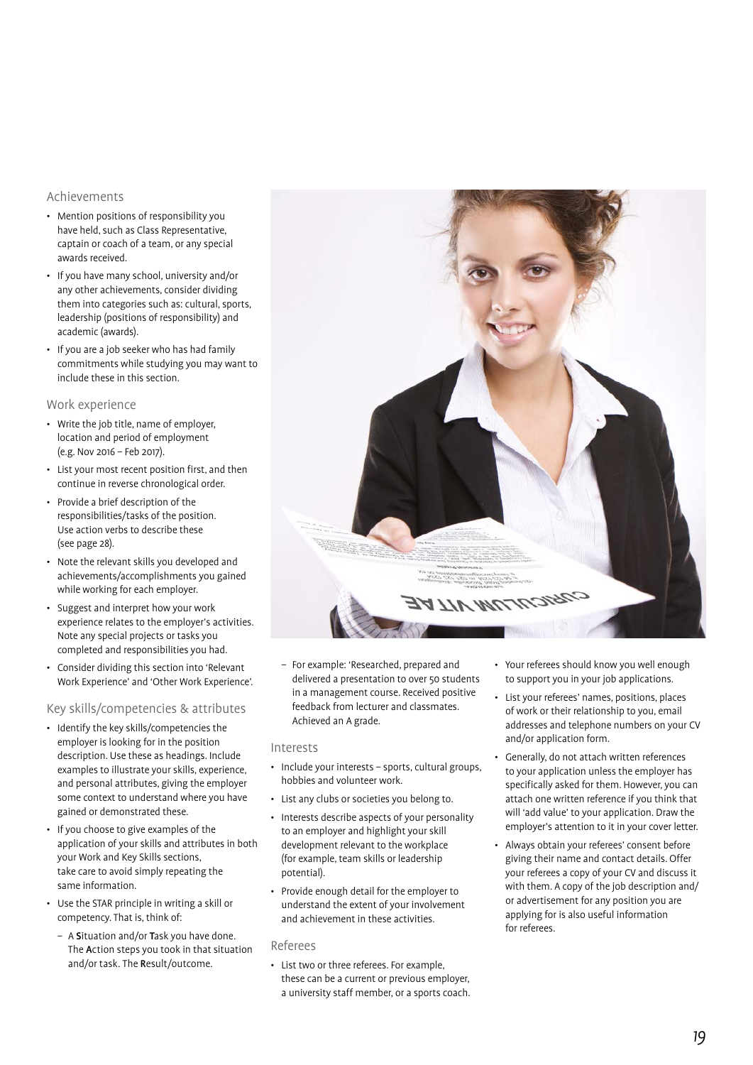# Achievements

- Mention positions of responsibility you have held, such as Class Representative, captain or coach of a team, or any special awards received.
- If you have many school, university and/or any other achievements, consider dividing them into categories such as: cultural, sports, leadership (positions of responsibility) and academic (awards).
- If you are a job seeker who has had family commitments while studying you may want to include these in this section.

#### Work experience

- Write the job title, name of employer, location and period of employment (e.g. Nov 2016 – Feb 2017).
- List your most recent position first, and then continue in reverse chronological order.
- Provide a brief description of the responsibilities/tasks of the position. Use action verbs to describe these (see page 28).
- Note the relevant skills you developed and achievements/accomplishments you gained while working for each employer.
- Suggest and interpret how your work experience relates to the employer's activities. Note any special projects or tasks you completed and responsibilities you had.
- Consider dividing this section into 'Relevant Work Experience' and 'Other Work Experience'.

#### Key skills/competencies & attributes

- Identify the key skills/competencies the employer is looking for in the position description. Use these as headings. Include examples to illustrate your skills, experience, and personal attributes, giving the employer some context to understand where you have gained or demonstrated these.
- If you choose to give examples of the application of your skills and attributes in both your Work and Key Skills sections, take care to avoid simply repeating the same information.
- Use the STAR principle in writing a skill or competency. That is, think of:
	- A Situation and/or Task you have done. The Action steps you took in that situation and/or task. The Result/outcome.

– For example: 'Researched, prepared and delivered a presentation to over 50 students in a management course. Received positive feedback from lecturer and classmates. Achieved an A grade.

#### Interests

- Include your interests sports, cultural groups, hobbies and volunteer work.
- List any clubs or societies you belong to.
- Interests describe aspects of your personality to an employer and highlight your skill development relevant to the workplace (for example, team skills or leadership potential).
- Provide enough detail for the employer to understand the extent of your involvement and achievement in these activities.

#### Referees

• List two or three referees. For example, these can be a current or previous employer, a university staff member, or a sports coach.

- Your referees should know you well enough to support you in your job applications.
- List your referees' names, positions, places of work or their relationship to you, email addresses and telephone numbers on your CV and/or application form.
- Generally, do not attach written references to your application unless the employer has specifically asked for them. However, you can attach one written reference if you think that will 'add value' to your application. Draw the employer's attention to it in your cover letter.
- Always obtain your referees' consent before giving their name and contact details. Offer your referees a copy of your CV and discuss it with them. A copy of the job description and/ or advertisement for any position you are applying for is also useful information for referees.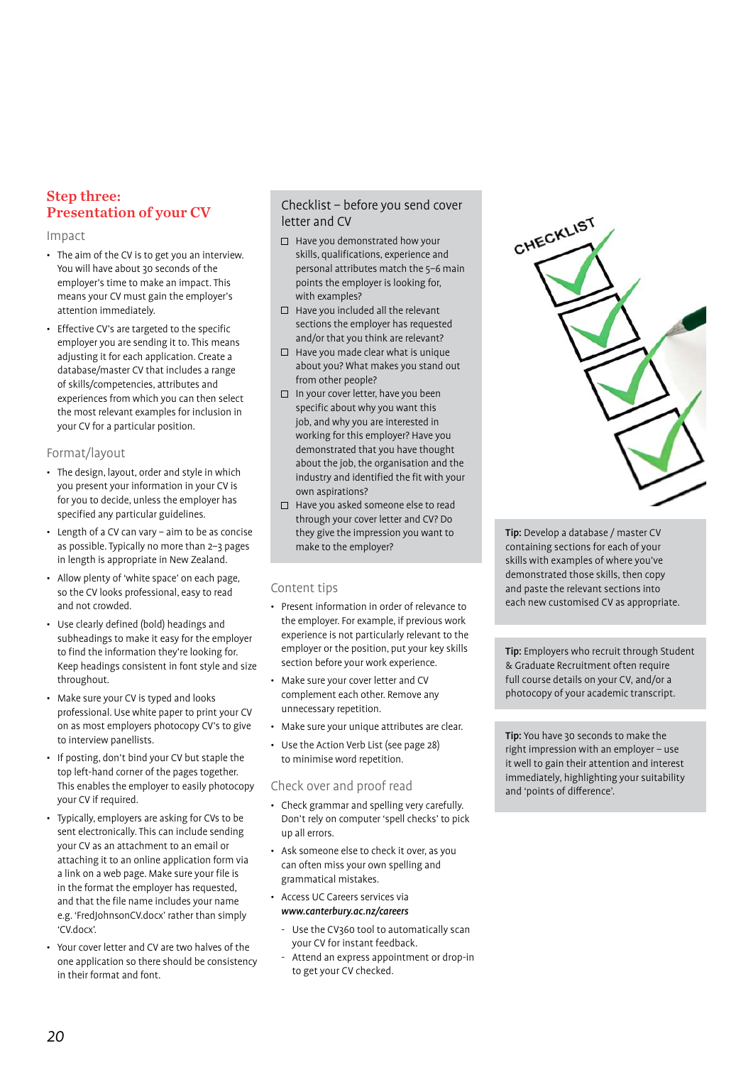# Step three: Presentation of your CV

#### Impact

- The aim of the CV is to get you an interview. You will have about 30 seconds of the employer's time to make an impact. This means your CV must gain the employer's attention immediately.
- Effective CV's are targeted to the specific employer you are sending it to. This means adjusting it for each application. Create a database/master CV that includes a range of skills/competencies, attributes and experiences from which you can then select the most relevant examples for inclusion in your CV for a particular position.

# Format/layout

- The design, layout, order and style in which you present your information in your CV is for you to decide, unless the employer has specified any particular guidelines.
- Length of a CV can vary aim to be as concise as possible. Typically no more than 2–3 pages in length is appropriate in New Zealand.
- Allow plenty of 'white space' on each page, so the CV looks professional, easy to read and not crowded.
- Use clearly defined (bold) headings and subheadings to make it easy for the employer to find the information they're looking for. Keep headings consistent in font style and size throughout.
- Make sure your CV is typed and looks professional. Use white paper to print your CV on as most employers photocopy CV's to give to interview panellists.
- If posting, don't bind your CV but staple the top left-hand corner of the pages together. This enables the employer to easily photocopy your CV if required.
- Typically, employers are asking for CVs to be sent electronically. This can include sending your CV as an attachment to an email or attaching it to an online application form via a link on a web page. Make sure your file is in the format the employer has requested, and that the file name includes your name e.g. 'FredJohnsonCV.docx' rather than simply 'CV.docx'.
- Your cover letter and CV are two halves of the one application so there should be consistency in their format and font.

# Checklist – before you send cover letter and CV

- $\Box$  Have you demonstrated how your skills, qualifications, experience and personal attributes match the 5–6 main points the employer is looking for, with examples?
- $\Box$  Have you included all the relevant sections the employer has requested and/or that you think are relevant?
- $\Box$  Have you made clear what is unique about you? What makes you stand out from other people?
- $\square$  In your cover letter, have you been specific about why you want this job, and why you are interested in working for this employer? Have you demonstrated that you have thought about the job, the organisation and the industry and identified the fit with your own aspirations?
- $\Box$  Have you asked someone else to read through your cover letter and CV? Do they give the impression you want to make to the employer?

# Content tips

- Present information in order of relevance to the employer. For example, if previous work experience is not particularly relevant to the employer or the position, put your key skills section before your work experience.
- Make sure your cover letter and CV complement each other. Remove any unnecessary repetition.
- Make sure your unique attributes are clear.
- Use the Action Verb List (see page 28) to minimise word repetition.

# Check over and proof read

- Check grammar and spelling very carefully. Don't rely on computer 'spell checks' to pick up all errors.
- Ask someone else to check it over, as you can often miss your own spelling and grammatical mistakes.
- Access UC Careers services via <www.canterbury.ac.nz/careers>
	- Use the CV360 tool to automatically scan your CV for instant feedback.
	- Attend an express appointment or drop-in to get your CV checked.



Tip: Develop a database / master CV containing sections for each of your skills with examples of where you've demonstrated those skills, then copy and paste the relevant sections into each new customised CV as appropriate.

Tip: Employers who recruit through Student & Graduate Recruitment often require full course details on your CV, and/or a photocopy of your academic transcript.

Tip: You have 30 seconds to make the right impression with an employer – use it well to gain their attention and interest immediately, highlighting your suitability and 'points of difference'.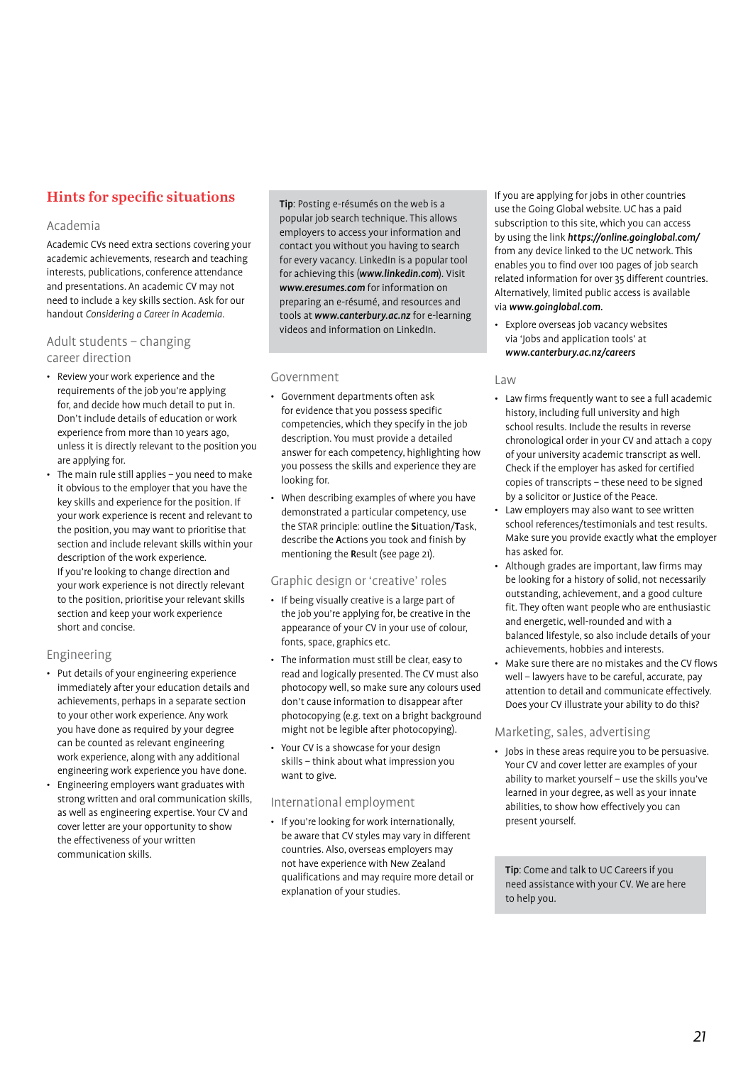# Hints for specific situations

# Academia

Academic CVs need extra sections covering your academic achievements, research and teaching interests, publications, conference attendance and presentations. An academic CV may not need to include a key skills section. Ask for our handout Considering a Career in Academia.

# Adult students – changing career direction

- Review your work experience and the requirements of the job you're applying for, and decide how much detail to put in. Don't include details of education or work experience from more than 10 years ago, unless it is directly relevant to the position you are applying for.
- The main rule still applies you need to make it obvious to the employer that you have the key skills and experience for the position. If your work experience is recent and relevant to the position, you may want to prioritise that section and include relevant skills within your description of the work experience. If you're looking to change direction and your work experience is not directly relevant to the position, prioritise your relevant skills section and keep your work experience short and concise.

# Engineering

- Put details of your engineering experience immediately after your education details and achievements, perhaps in a separate section to your other work experience. Any work you have done as required by your degree can be counted as relevant engineering work experience, along with any additional engineering work experience you have done.
- Engineering employers want graduates with strong written and oral communication skills, as well as engineering expertise. Your CV and cover letter are your opportunity to show the effectiveness of your written communication skills.

Tip: Posting e-résumés on the web is a popular job search technique. This allows employers to access your information and contact you without you having to search for every vacancy. LinkedIn is a popular tool for achieving this ([www.linkedin.com](http://www.linkedin.com)). Visit [www.eresumes.com](http://www.eresumes.com) for information on preparing an e-résumé, and resources and tools at [www.canterbury.ac.nz](http://www.canterbury.ac.nz) for e-learning videos and information on LinkedIn.

# Government

- Government departments often ask for evidence that you possess specific competencies, which they specify in the job description. You must provide a detailed answer for each competency, highlighting how you possess the skills and experience they are looking for.
- When describing examples of where you have demonstrated a particular competency, use the STAR principle: outline the Situation/Task, describe the Actions you took and finish by mentioning the Result (see page 21).

# Graphic design or 'creative' roles

- If being visually creative is a large part of the job you're applying for, be creative in the appearance of your CV in your use of colour, fonts, space, graphics etc.
- The information must still be clear, easy to read and logically presented. The CV must also photocopy well, so make sure any colours used don't cause information to disappear after photocopying (e.g. text on a bright background might not be legible after photocopying).
- Your CV is a showcase for your design skills – think about what impression you want to give.

# International employment

• If you're looking for work internationally, be aware that CV styles may vary in different countries. Also, overseas employers may not have experience with New Zealand qualifications and may require more detail or explanation of your studies.

If you are applying for jobs in other countries use the Going Global website. UC has a paid subscription to this site, which you can access by using the link <https://online.goinglobal.com/> from any device linked to the UC network. This enables you to find over 100 pages of job search related information for over 35 different countries. Alternatively, limited public access is available via [www.goinglobal.com.](www.goinglobal.com)

• Explore overseas job vacancy websites via 'Jobs and application tools' at <www.canterbury.ac.nz/careers>

# Law

- Law firms frequently want to see a full academic history, including full university and high school results. Include the results in reverse chronological order in your CV and attach a copy of your university academic transcript as well. Check if the employer has asked for certified copies of transcripts – these need to be signed by a solicitor or Justice of the Peace.
- Law employers may also want to see written school references/testimonials and test results. Make sure you provide exactly what the employer has asked for.
- Although grades are important, law firms may be looking for a history of solid, not necessarily outstanding, achievement, and a good culture fit. They often want people who are enthusiastic and energetic, well-rounded and with a balanced lifestyle, so also include details of your achievements, hobbies and interests.
- Make sure there are no mistakes and the CV flows well – lawyers have to be careful, accurate, pay attention to detail and communicate effectively. Does your CV illustrate your ability to do this?

# Marketing, sales, advertising

• Jobs in these areas require you to be persuasive. Your CV and cover letter are examples of your ability to market yourself – use the skills you've learned in your degree, as well as your innate abilities, to show how effectively you can present yourself.

Tip: Come and talk to UC Careers if you need assistance with your CV. We are here to help you.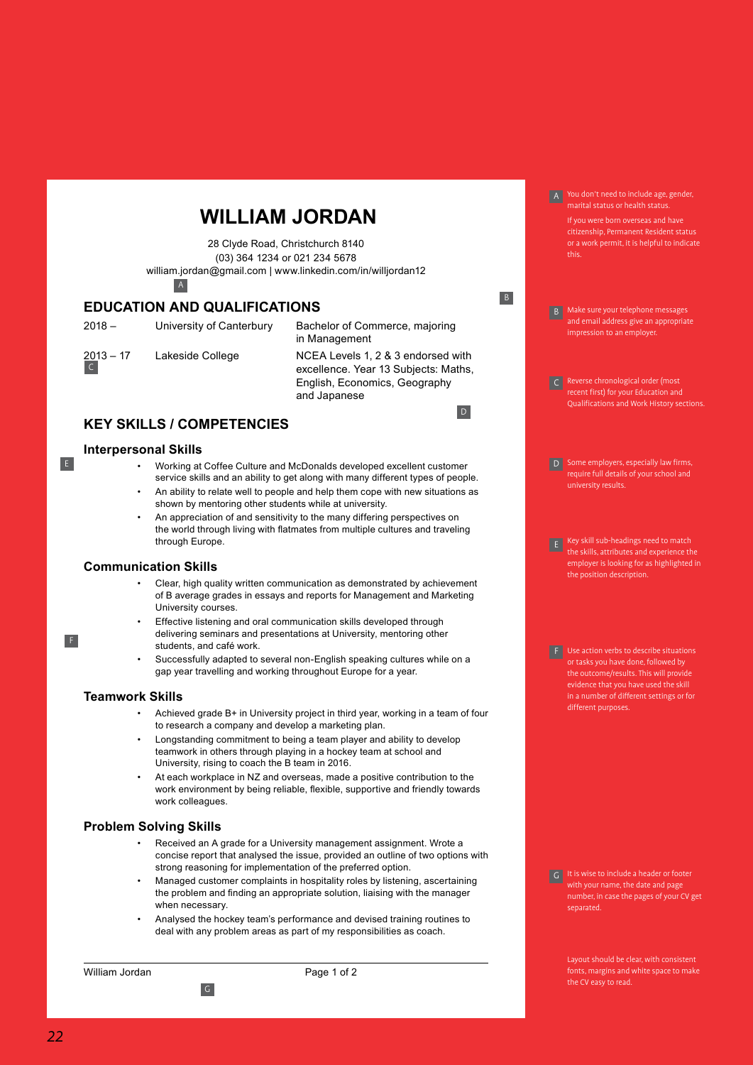# **WILLIAM JORDAN**

28 Clyde Road, Christchurch 8140 (03) 364 1234 or 021 234 5678 [william.jordan@gmail.com](mailto:william.jordan@gmail.com) | www.linkedin.com/in/willjordan12 A

# **EDUCATION AND QUALIFICATIONS**

C

E

F

2018 – University of Canterbury Bachelor of Commerce, majoring in Management 2013 – 17 Lakeside College NCEA Levels 1, 2 & 3 endorsed with excellence. Year 13 Subjects: Maths, English, Economics, Geography and Japanese D

# **KEY SKILLS / COMPETENCIES**

#### **Interpersonal Skills**

- Working at Coffee Culture and McDonalds developed excellent customer service skills and an ability to get along with many different types of people. • An ability to relate well to people and help them cope with new situations as
- shown by mentoring other students while at university.
- An appreciation of and sensitivity to the many differing perspectives on the world through living with flatmates from multiple cultures and traveling through Europe.

# **Communication Skills**

- Clear, high quality written communication as demonstrated by achievement of B average grades in essays and reports for Management and Marketing University courses.
- Effective listening and oral communication skills developed through delivering seminars and presentations at University, mentoring other students, and café work.
- Successfully adapted to several non-English speaking cultures while on a gap year travelling and working throughout Europe for a year.

#### **Teamwork Skills**

- Achieved grade B+ in University project in third year, working in a team of four to research a company and develop a marketing plan.
- Longstanding commitment to being a team player and ability to develop teamwork in others through playing in a hockey team at school and University, rising to coach the B team in 2016.
- At each workplace in NZ and overseas, made a positive contribution to the work environment by being reliable, flexible, supportive and friendly towards work colleagues.

# **Problem Solving Skills**

G

- Received an A grade for a University management assignment. Wrote a concise report that analysed the issue, provided an outline of two options with strong reasoning for implementation of the preferred option.
- Managed customer complaints in hospitality roles by listening, ascertaining the problem and finding an appropriate solution, liaising with the manager when necessary.
- Analysed the hockey team's performance and devised training routines to deal with any problem areas as part of my responsibilities as coach.

William Jordan **October, 2012 Page 1 of 2** 

A You don't need to include age, gender, marital status or health status.

If you were born overseas and have citizenship, Permanent Resident status or a work permit, it is helpful to indicate this.

B Make sure your telephone messages and email address give an appropriate impression to an employer.

B

- C Reverse chronological order (most recent first) for your Education and Qualifications and Work History sections.
- **D** Some employers, especially law firms, require full details of your school and university results.
- $E$  Key skill sub-headings need to match the skills, attributes and experience the employer is looking for as highlighted in the position description.

or tasks you have done, followed by the outcome/results. This will provide evidence that you have used the skill in a number of different settings or for different purposes.

G It is wise to include a header or footer with your name, the date and page number, in case the pages of your CV get separated.

> Layout should be clear, with consistent fonts, margins and white space to make the CV easy to read.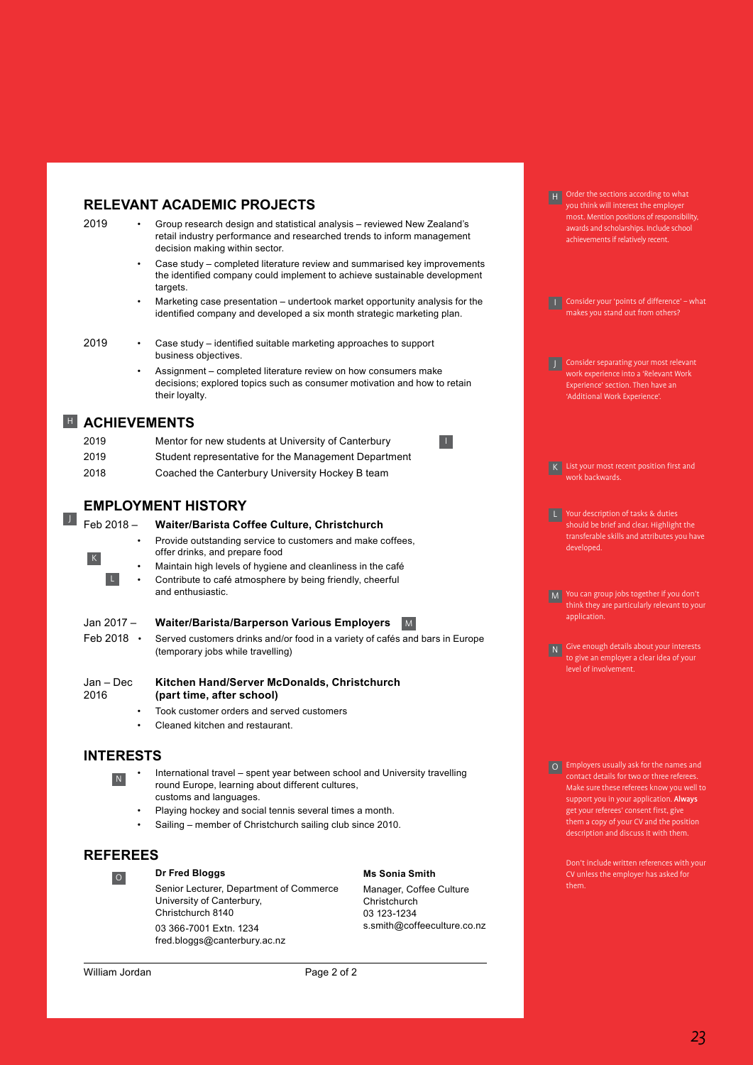# **RELEVANT ACADEMIC PROJECTS**

- 2019 Group research design and statistical analysis reviewed New Zealand's retail industry performance and researched trends to inform management decision making within sector. •
	- Case study completed literature review and summarised key improvements the identified company could implement to achieve sustainable development targets.
	- Marketing case presentation undertook market opportunity analysis for the identified company and developed a six month strategic marketing plan.

J

- 2019 Case study identified suitable marketing approaches to support business objectives. •
	- Assignment completed literature review on how consumers make decisions; explored topics such as consumer motivation and how to retain their loyalty.

# **E** ACHIEVEMENTS

| 2019 | Mentor for new students at University of Canterbury  |
|------|------------------------------------------------------|
| 2019 | Student representative for the Management Department |
| 2018 | Coached the Canterbury University Hockey B team      |

# **EMPLOYMENT HISTORY**

| $\bullet$<br>K                 | Feb 2018 - Waiter/Barista Coffee Culture, Christchurch<br>Provide outstanding service to customers and make coffees,<br>offer drinks, and prepare food<br>Maintain high levels of hygiene and cleanliness in the café<br>Contribute to café atmosphere by being friendly, cheerful<br>and enthusiastic. |
|--------------------------------|---------------------------------------------------------------------------------------------------------------------------------------------------------------------------------------------------------------------------------------------------------------------------------------------------------|
| Jan 2017 -<br>Feb 2018 $\cdot$ | <b>Waiter/Barista/Barperson Various Employers</b><br>M<br>Served customers drinks and/or food in a variety of cafés and bars in Europe<br>(temporary jobs while travelling)                                                                                                                             |
| Jan – Dec<br>2016<br>٠<br>٠    | Kitchen Hand/Server McDonalds, Christchurch<br>(part time, after school)<br>Took customer orders and served customers<br>Cleaned kitchen and restaurant.                                                                                                                                                |

# **INTERESTS** N

- International travel spent year between school and University travelling round Europe, learning about different cultures, customs and languages.
- Playing hockey and social tennis several times a month.
- Sailing member of Christchurch sailing club since 2010.

# **REFEREES**

**Dr Fred Bloggs** O

Senior Lecturer, Department of Commerce University of Canterbury, Christchurch 8140

03 366-7001 Extn. 1234 fred.bloggs@canterbury.ac.nz **Ms Sonia Smith** Manager, Coffee Culture Christchurch

03 123-1234 s.smith@coffeeculture.co.nz

 $\overline{1}$ 

**H** Order the sections according to what you think will interest the employer most. Mention positions of responsibility, awards and scholarships. Include school achievements if relatively recent.

I Consider your 'points of difference' – what makes you stand out from others?

J Consider separating your most relevant work experience into a 'Relevant Work Experience' section. Then have an 'Additional Work Experience'.

work backwards.

- L Your description of tasks & duties should be brief and clear. Highlight the transferable skills and attributes you have developed.
- M You can group jobs together if you don't think they are particularly relevant to your application.

N Give enough details about your interests to give an employer a clear idea of your level of involvement.

O Employers usually ask for the names and Make sure these referees know you well to support you in your application. Always get your referees' consent first, give them a copy of your CV and the position description and discuss it with them.

> Don't include written references with your CV unless the employer has asked for them.

William Jordan **October, 2012** Page 2 of 2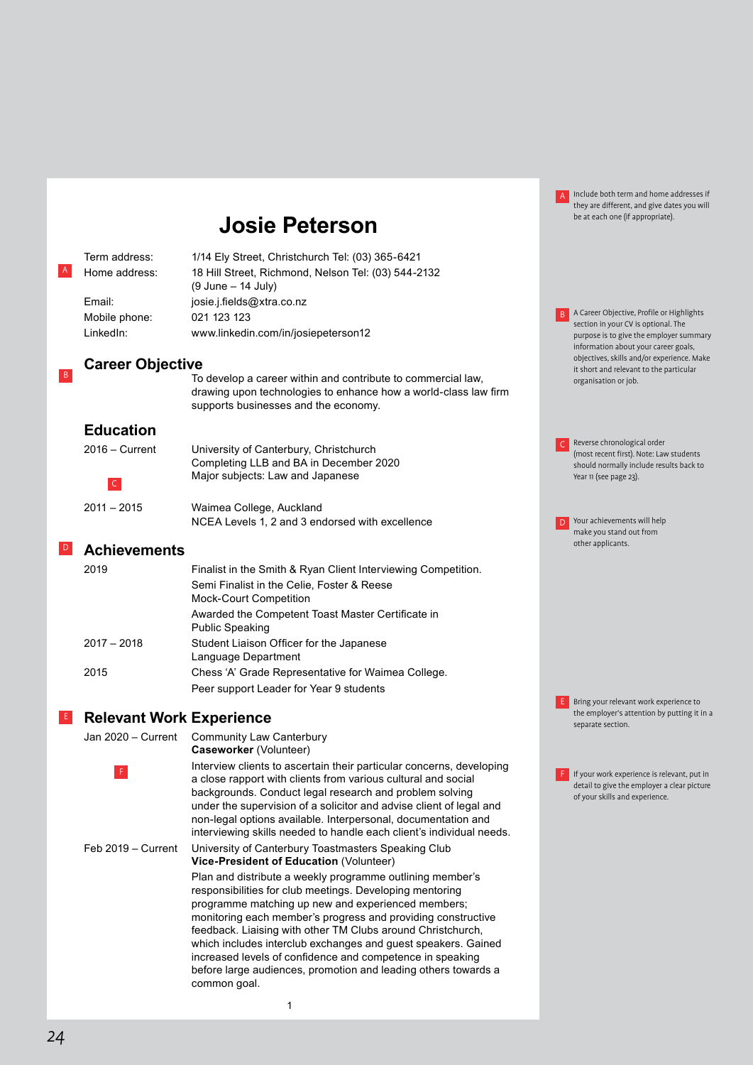|                 |                                 |                                                                                                                                                                                                                                                                                                                                                                                                                                                                                                                            | $\mathsf{A}$ | Include both term and home addresses if<br>they are different, and give dates you will                                        |  |
|-----------------|---------------------------------|----------------------------------------------------------------------------------------------------------------------------------------------------------------------------------------------------------------------------------------------------------------------------------------------------------------------------------------------------------------------------------------------------------------------------------------------------------------------------------------------------------------------------|--------------|-------------------------------------------------------------------------------------------------------------------------------|--|
|                 |                                 | <b>Josie Peterson</b>                                                                                                                                                                                                                                                                                                                                                                                                                                                                                                      |              | be at each one (if appropriate).                                                                                              |  |
|                 | Term address:                   | 1/14 Ely Street, Christchurch Tel: (03) 365-6421                                                                                                                                                                                                                                                                                                                                                                                                                                                                           |              |                                                                                                                               |  |
| A               | Home address:                   | 18 Hill Street, Richmond, Nelson Tel: (03) 544-2132<br>(9 June – 14 July)                                                                                                                                                                                                                                                                                                                                                                                                                                                  |              |                                                                                                                               |  |
|                 | Email:                          | josie.j.fields@xtra.co.nz                                                                                                                                                                                                                                                                                                                                                                                                                                                                                                  |              |                                                                                                                               |  |
|                 | Mobile phone:                   | 021 123 123                                                                                                                                                                                                                                                                                                                                                                                                                                                                                                                |              | A Career Objective, Profile or Highlights<br>section in your CV is optional. The                                              |  |
|                 | LinkedIn:                       | www.linkedin.com/in/josiepeterson12                                                                                                                                                                                                                                                                                                                                                                                                                                                                                        |              | purpose is to give the employer summary<br>information about your career goals,<br>objectives, skills and/or experience. Make |  |
| $\overline{B}$  | <b>Career Objective</b>         |                                                                                                                                                                                                                                                                                                                                                                                                                                                                                                                            |              | it short and relevant to the particular                                                                                       |  |
|                 |                                 | To develop a career within and contribute to commercial law,<br>drawing upon technologies to enhance how a world-class law firm<br>supports businesses and the economy.                                                                                                                                                                                                                                                                                                                                                    |              | organisation or job.                                                                                                          |  |
|                 | <b>Education</b>                |                                                                                                                                                                                                                                                                                                                                                                                                                                                                                                                            |              |                                                                                                                               |  |
|                 | 2016 - Current                  | University of Canterbury, Christchurch                                                                                                                                                                                                                                                                                                                                                                                                                                                                                     |              | Reverse chronological order<br>(most recent first). Note: Law students                                                        |  |
|                 |                                 | Completing LLB and BA in December 2020                                                                                                                                                                                                                                                                                                                                                                                                                                                                                     |              | should normally include results back to                                                                                       |  |
|                 | $\mathsf{C}$                    | Major subjects: Law and Japanese                                                                                                                                                                                                                                                                                                                                                                                                                                                                                           |              | Year 11 (see page 23).                                                                                                        |  |
|                 | $2011 - 2015$                   | Waimea College, Auckland                                                                                                                                                                                                                                                                                                                                                                                                                                                                                                   |              |                                                                                                                               |  |
|                 |                                 | NCEA Levels 1, 2 and 3 endorsed with excellence                                                                                                                                                                                                                                                                                                                                                                                                                                                                            |              | Your achievements will help<br>make you stand out from                                                                        |  |
| $\vert D \vert$ | <b>Achievements</b>             |                                                                                                                                                                                                                                                                                                                                                                                                                                                                                                                            |              | other applicants.                                                                                                             |  |
|                 | 2019                            | Finalist in the Smith & Ryan Client Interviewing Competition.                                                                                                                                                                                                                                                                                                                                                                                                                                                              |              |                                                                                                                               |  |
|                 |                                 | Semi Finalist in the Celie, Foster & Reese<br><b>Mock-Court Competition</b>                                                                                                                                                                                                                                                                                                                                                                                                                                                |              |                                                                                                                               |  |
|                 |                                 | Awarded the Competent Toast Master Certificate in<br><b>Public Speaking</b>                                                                                                                                                                                                                                                                                                                                                                                                                                                |              |                                                                                                                               |  |
|                 | $2017 - 2018$                   | Student Liaison Officer for the Japanese<br>Language Department                                                                                                                                                                                                                                                                                                                                                                                                                                                            |              |                                                                                                                               |  |
|                 | 2015                            | Chess 'A' Grade Representative for Waimea College.                                                                                                                                                                                                                                                                                                                                                                                                                                                                         |              |                                                                                                                               |  |
|                 |                                 | Peer support Leader for Year 9 students                                                                                                                                                                                                                                                                                                                                                                                                                                                                                    |              | Bring your relevant work experience to                                                                                        |  |
| LE.             | <b>Relevant Work Experience</b> |                                                                                                                                                                                                                                                                                                                                                                                                                                                                                                                            |              | the employer's attention by putting it in a                                                                                   |  |
|                 | Jan 2020 - Current              | <b>Community Law Canterbury</b>                                                                                                                                                                                                                                                                                                                                                                                                                                                                                            |              | separate section.                                                                                                             |  |
|                 |                                 | Caseworker (Volunteer)                                                                                                                                                                                                                                                                                                                                                                                                                                                                                                     |              |                                                                                                                               |  |
|                 |                                 | Interview clients to ascertain their particular concerns, developing<br>a close rapport with clients from various cultural and social<br>backgrounds. Conduct legal research and problem solving<br>under the supervision of a solicitor and advise client of legal and<br>non-legal options available. Interpersonal, documentation and<br>interviewing skills needed to handle each client's individual needs.                                                                                                           |              | If your work experience is relevant, put in<br>detail to give the employer a clear picture<br>of your skills and experience.  |  |
|                 | Feb 2019 - Current              | University of Canterbury Toastmasters Speaking Club<br>Vice-President of Education (Volunteer)                                                                                                                                                                                                                                                                                                                                                                                                                             |              |                                                                                                                               |  |
|                 |                                 | Plan and distribute a weekly programme outlining member's<br>responsibilities for club meetings. Developing mentoring<br>programme matching up new and experienced members;<br>monitoring each member's progress and providing constructive<br>feedback. Liaising with other TM Clubs around Christchurch,<br>which includes interclub exchanges and guest speakers. Gained<br>increased levels of confidence and competence in speaking<br>before large audiences, promotion and leading others towards a<br>common goal. |              |                                                                                                                               |  |

1

# 24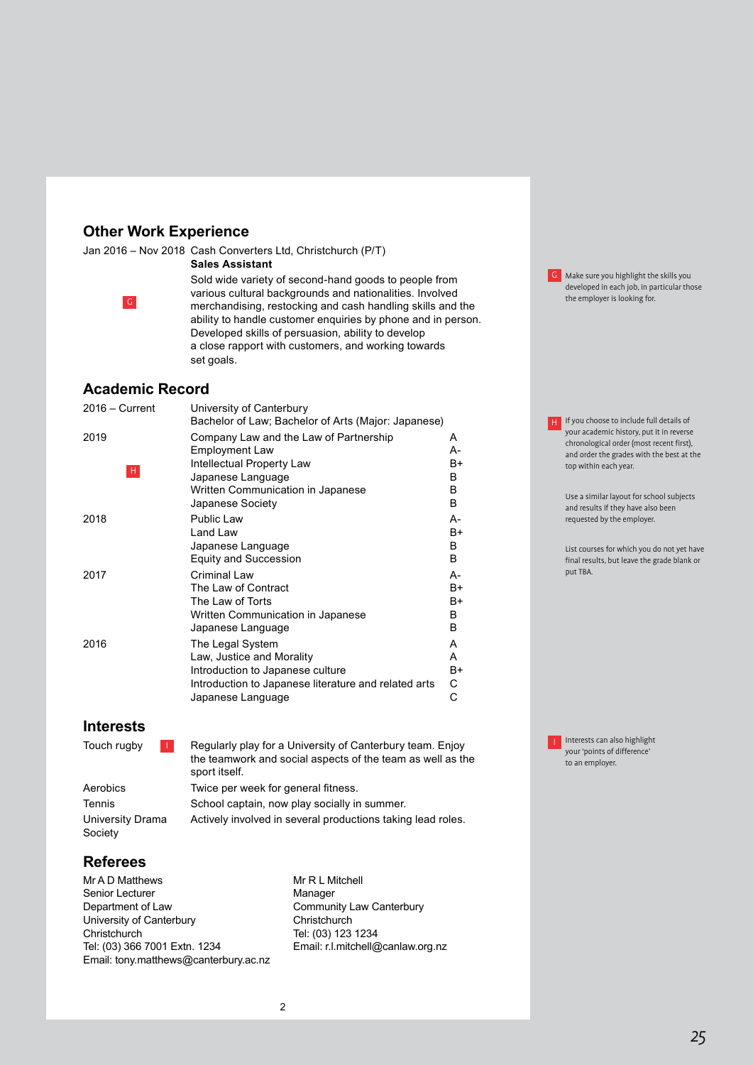# **Other Work Experience**

Jan 2016 – Nov 2018 Cash Converters Ltd, Christchurch (P/T)

# **Sales Assistant**



Sold wide variety of second-hand goods to people from various cultural backgrounds and nationalities. Involved The employer is looking for the employer is looking for.<br>
The employer is looking for the employer is looking for the employer is looking for the employer is looking for ability to handle customer enquiries by phone and in person. Developed skills of persuasion, ability to develop a close rapport with customers, and working towards set goals.

# **Academic Record**

| 2016 – Current | University of Canterbury                             |    |
|----------------|------------------------------------------------------|----|
|                | Bachelor of Law; Bachelor of Arts (Major: Japanese)  |    |
| 2019           | Company Law and the Law of Partnership               | A  |
|                | <b>Employment Law</b>                                | А- |
| Η.             | Intellectual Property Law                            | B+ |
|                | Japanese Language                                    | B  |
|                | Written Communication in Japanese                    | B. |
|                | Japanese Society                                     | B. |
| 2018           | <b>Public Law</b>                                    | А- |
|                | Land Law                                             | B+ |
|                | Japanese Language                                    | В  |
|                | <b>Equity and Succession</b>                         | B. |
| 2017           | Criminal Law                                         | А- |
|                | The Law of Contract                                  | B+ |
|                | The Law of Torts                                     | B+ |
|                | Written Communication in Japanese                    | B  |
|                | Japanese Language                                    | B. |
| 2016           | The Legal System                                     | A  |
|                | Law, Justice and Morality                            | A  |
|                | Introduction to Japanese culture                     | B+ |
|                | Introduction to Japanese literature and related arts | C. |
|                | Japanese Language                                    | C  |
|                |                                                      |    |

# **Interests**

| Touch rugby                 | Regularly play for a University of Canterbury team. Enjoy<br>the teamwork and social aspects of the team as well as the<br>sport itself. |
|-----------------------------|------------------------------------------------------------------------------------------------------------------------------------------|
| Aerobics                    | Twice per week for general fitness.                                                                                                      |
| Tennis                      | School captain, now play socially in summer.                                                                                             |
| University Drama<br>Society | Actively involved in several productions taking lead roles.                                                                              |

# **Referees**

Mr A D Matthews Senior Lecturer Department of Law University of Canterbury **Christchurch** Tel: (03) 366 7001 Extn. 1234 Email: tony.matthews@canterbury.ac.nz

Mr R L Mitchell Manager Community Law Canterbury **Christchurch** Tel: (03) 123 1234 Email: r.l.mitchell@canlaw.org.nz **G** Make sure you highlight the skills you developed in each job, in particular those<br>the employer is looking for.

**H** If you choose to include full details of your academic history, put it in reverse chronological order (most recent first), and order the grades with the best at the top within each year.

> Use a similar layout for school subjects and results if they have also been requested by the employer.

List courses for which you do not yet have final results, but leave the grade blank or put TBA.

**I** Interests can also highlight your 'points of difference' to an employer.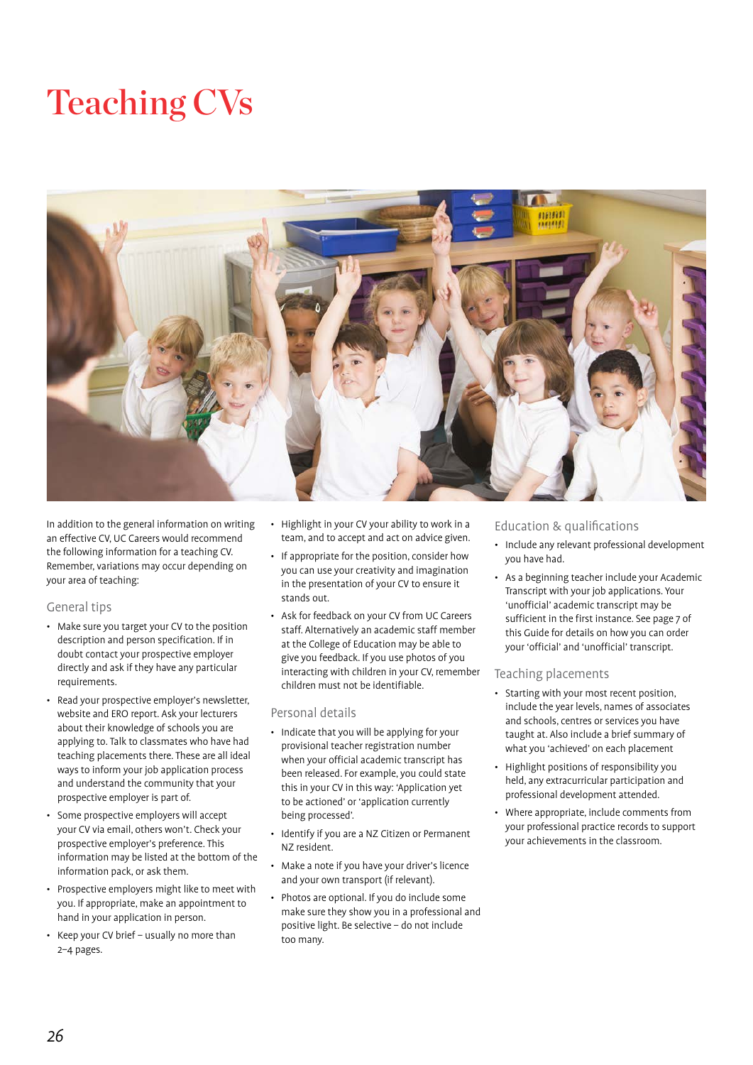# Teaching CVs



In addition to the general information on writing an effective CV, UC Careers would recommend the following information for a teaching CV. Remember, variations may occur depending on your area of teaching:

# General tips

- Make sure you target your CV to the position description and person specification. If in doubt contact your prospective employer directly and ask if they have any particular requirements.
- Read your prospective employer's newsletter, website and ERO report. Ask your lecturers about their knowledge of schools you are applying to. Talk to classmates who have had teaching placements there. These are all ideal ways to inform your job application process and understand the community that your prospective employer is part of.
- Some prospective employers will accept your CV via email, others won't. Check your prospective employer's preference. This information may be listed at the bottom of the information pack, or ask them.
- Prospective employers might like to meet with you. If appropriate, make an appointment to hand in your application in person.
- Keep your CV brief usually no more than 2–4 pages.
- Highlight in your CV your ability to work in a team, and to accept and act on advice given.
- If appropriate for the position, consider how you can use your creativity and imagination in the presentation of your CV to ensure it stands out.
- Ask for feedback on your CV from UC Careers staff. Alternatively an academic staff member at the College of Education may be able to give you feedback. If you use photos of you interacting with children in your CV, remember children must not be identifiable.

#### Personal details

- Indicate that you will be applying for your provisional teacher registration number when your official academic transcript has been released. For example, you could state this in your CV in this way: 'Application yet to be actioned' or 'application currently being processed'.
- Identify if you are a NZ Citizen or Permanent NZ resident.
- Make a note if you have your driver's licence and your own transport (if relevant).
- Photos are optional. If you do include some make sure they show you in a professional and positive light. Be selective – do not include too many.

# Education & qualifications

- Include any relevant professional development you have had.
- As a beginning teacher include your Academic Transcript with your job applications. Your 'unofficial' academic transcript may be sufficient in the first instance. See page 7 of this Guide for details on how you can order your 'official' and 'unofficial' transcript.

#### Teaching placements

- Starting with your most recent position, include the year levels, names of associates and schools, centres or services you have taught at. Also include a brief summary of what you 'achieved' on each placement
- Highlight positions of responsibility you held, any extracurricular participation and professional development attended.
- Where appropriate, include comments from your professional practice records to support your achievements in the classroom.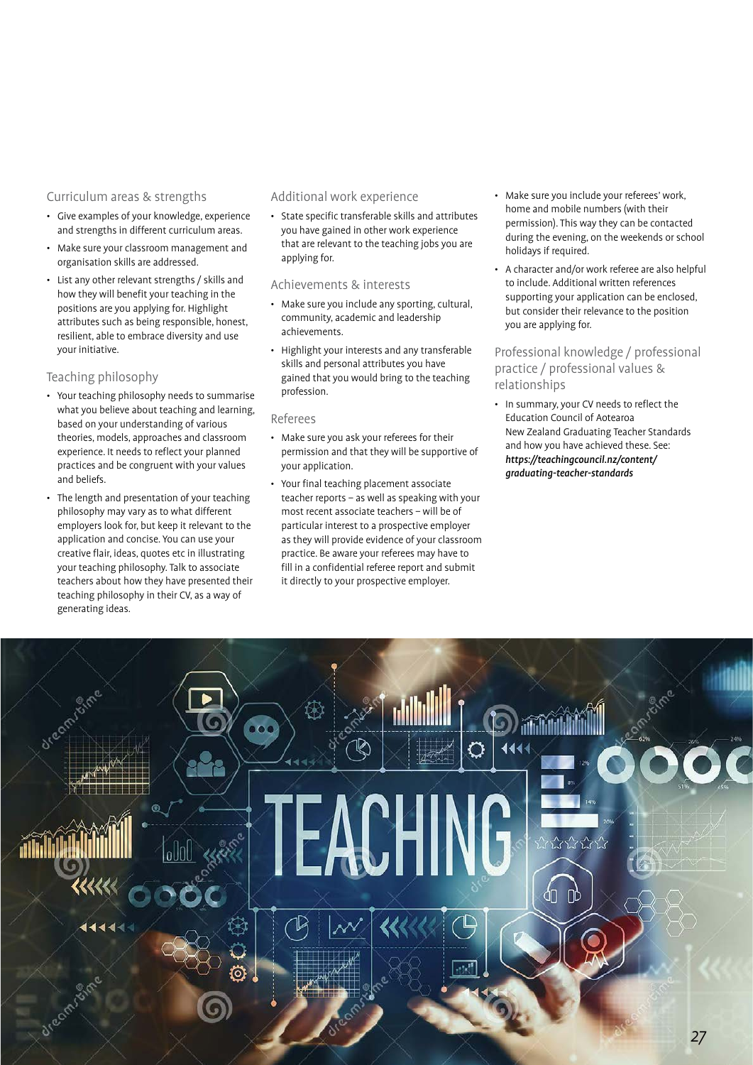# Curriculum areas & strengths

- Give examples of your knowledge, experience and strengths in different curriculum areas.
- Make sure your classroom management and organisation skills are addressed.
- List any other relevant strengths / skills and how they will benefit your teaching in the positions are you applying for. Highlight attributes such as being responsible, honest, resilient, able to embrace diversity and use your initiative.

#### Teaching philosophy

- Your teaching philosophy needs to summarise what you believe about teaching and learning, based on your understanding of various theories, models, approaches and classroom experience. It needs to reflect your planned practices and be congruent with your values and beliefs.
- The length and presentation of your teaching philosophy may vary as to what different employers look for, but keep it relevant to the application and concise. You can use your creative flair, ideas, quotes etc in illustrating your teaching philosophy. Talk to associate teachers about how they have presented their teaching philosophy in their CV, as a way of generating ideas.

#### Additional work experience

• State specific transferable skills and attributes you have gained in other work experience that are relevant to the teaching jobs you are applying for.

# Achievements & interests

- Make sure you include any sporting, cultural, community, academic and leadership achievements.
- Highlight your interests and any transferable skills and personal attributes you have gained that you would bring to the teaching profession.

#### Referees

- Make sure you ask your referees for their permission and that they will be supportive of your application.
- Your final teaching placement associate teacher reports – as well as speaking with your most recent associate teachers – will be of particular interest to a prospective employer as they will provide evidence of your classroom practice. Be aware your referees may have to fill in a confidential referee report and submit it directly to your prospective employer.
- Make sure you include your referees' work, home and mobile numbers (with their permission). This way they can be contacted during the evening, on the weekends or school holidays if required.
- A character and/or work referee are also helpful to include. Additional written references supporting your application can be enclosed, but consider their relevance to the position you are applying for.

# Professional knowledge / professional practice / professional values & relationships

• In summary, your CV needs to reflect the Education Council of Aotearoa New Zealand Graduating Teacher Standards and how you have achieved these. See: [https://teachingcouncil.nz/content/](https://teachingcouncil.nz/content/graduating-teacher-standards) [graduating-teacher-standards](https://teachingcouncil.nz/content/graduating-teacher-standards)